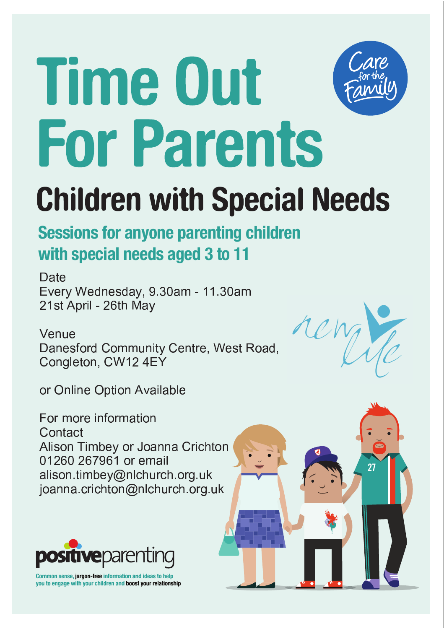# **Time Out For Parents**



## **Children with Special Needs**

#### **Sessions for anyone parenting children** with special needs aged 3 to 11

Date Every Wednesday, 9.30am - 11.30am 21st April - 26th May

Venue Danesford Community Centre, West Road, Congleton, CW12 4EY

or Online Option Available

For more information Contact Alison Timbey or Joanna Crichton 01260 267961 or email alison.timbey@nlchurch.org.uk joanna.crichton@nlchurch.org.uk



Common sense, jargon-free information and ideas to help you to engage with your children and boost your relationship